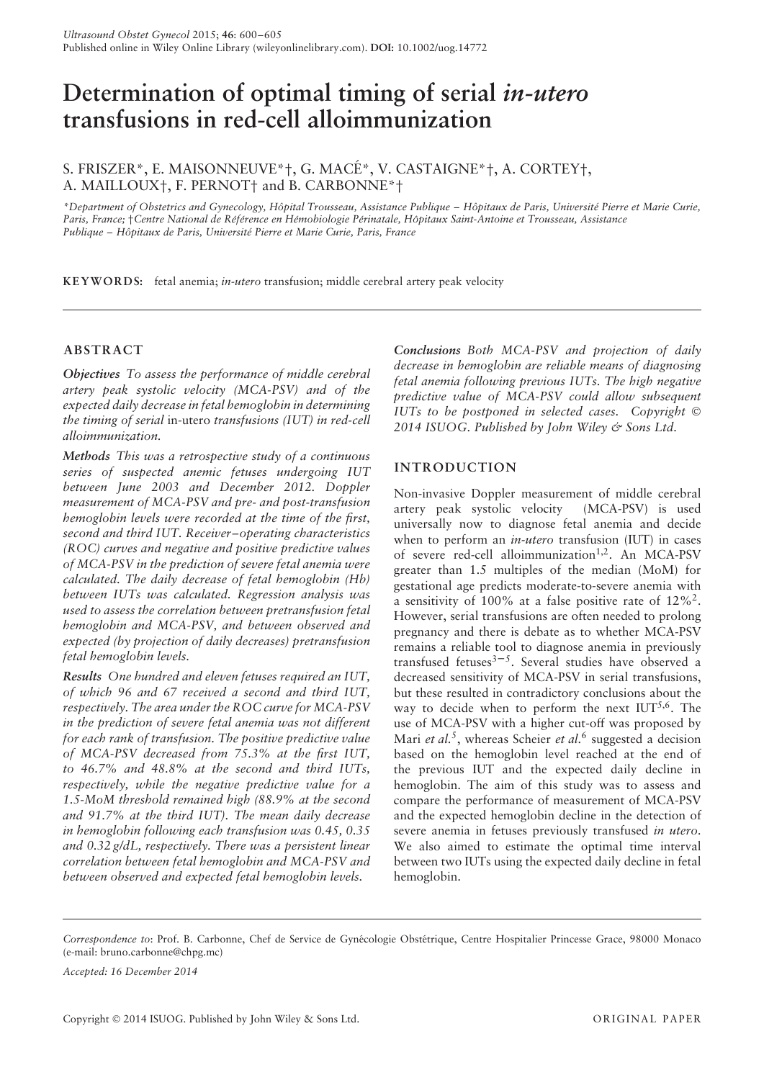# **Determination of optimal timing of serial** *in-utero* **transfusions in red-cell alloimmunization**

## S. FRISZER\*, E. MAISONNEUVE\*†, G. MACÉ\*, V. CASTAIGNE\*†, A. CORTEY†, A. MAILLOUX†, F. PERNOT† and B. CARBONNE\*†

*\*Department of Obstetrics and Gynecology, Hopital Trousseau, Assistance Publique – H ˆ opitaux de Paris, Universit ˆ e Pierre et Marie Curie, ´ Paris, France;* †*Centre National de Ref´ erence en H ´ emobiologie P ´ erinatale, H ´ opitaux Saint-Antoine et Trousseau, Assistance ˆ Publique – Hopitaux de Paris, Universit ˆ e Pierre et Marie Curie, Paris, France ´*

**KEYWORD S:** fetal anemia; *in-utero* transfusion; middle cerebral artery peak velocity

## **ABSTRACT**

*Objectives To assess the performance of middle cerebral artery peak systolic velocity (MCA-PSV) and of the expected daily decrease in fetal hemoglobin in determining the timing of serial* in-utero *transfusions (IUT) in red-cell alloimmunization.*

*Methods This was a retrospective study of a continuous series of suspected anemic fetuses undergoing IUT between June 2003 and December 2012. Doppler measurement of MCA-PSV and pre- and post-transfusion hemoglobin levels were recorded at the time of the first, second and third IUT. Receiver–operating characteristics (ROC) curves and negative and positive predictive values of MCA-PSV in the prediction of severe fetal anemia were calculated. The daily decrease of fetal hemoglobin (Hb) between IUTs was calculated. Regression analysis was used to assess the correlation between pretransfusion fetal hemoglobin and MCA-PSV, and between observed and expected (by projection of daily decreases) pretransfusion fetal hemoglobin levels.*

*Results One hundred and eleven fetuses required an IUT, of which 96 and 67 received a second and third IUT, respectively. The area under the ROC curve for MCA-PSV in the prediction of severe fetal anemia was not different for each rank of transfusion. The positive predictive value of MCA-PSV decreased from 75.3% at the first IUT, to 46.7% and 48.8% at the second and third IUTs, respectively, while the negative predictive value for a 1.5-MoM threshold remained high (88.9% at the second and 91.7% at the third IUT). The mean daily decrease in hemoglobin following each transfusion was 0.45, 0.35 and 0.32 g/dL, respectively. There was a persistent linear correlation between fetal hemoglobin and MCA-PSV and between observed and expected fetal hemoglobin levels.*

*Conclusions Both MCA-PSV and projection of daily decrease in hemoglobin are reliable means of diagnosing fetal anemia following previous IUTs. The high negative predictive value of MCA-PSV could allow subsequent IUTs to be postponed in selected cases. Copyright* © *2014 ISUOG. Published by John Wiley & Sons Ltd.*

## **INTRODUCTION**

Non-invasive Doppler measurement of middle cerebral artery peak systolic velocity (MCA-PSV) is used universally now to diagnose fetal anemia and decide when to perform an *in-utero* transfusion (IUT) in cases of severe red-cell alloimmunization<sup>1,2</sup>. An MCA-PSV greater than 1.5 multiples of the median (MoM) for gestational age predicts moderate-to-severe anemia with a sensitivity of 100% at a false positive rate of  $12\%^2$ . However, serial transfusions are often needed to prolong pregnancy and there is debate as to whether MCA-PSV remains a reliable tool to diagnose anemia in previously transfused fetuses $3-5$ . Several studies have observed a decreased sensitivity of MCA-PSV in serial transfusions, but these resulted in contradictory conclusions about the way to decide when to perform the next  $IUT^{5,6}$ . The use of MCA-PSV with a higher cut-off was proposed by Mari *et al.<sup>5</sup>*, whereas Scheier *et al.*<sup>6</sup> suggested a decision based on the hemoglobin level reached at the end of the previous IUT and the expected daily decline in hemoglobin. The aim of this study was to assess and compare the performance of measurement of MCA-PSV and the expected hemoglobin decline in the detection of severe anemia in fetuses previously transfused *in utero*. We also aimed to estimate the optimal time interval between two IUTs using the expected daily decline in fetal hemoglobin.

Correspondence to: Prof. B. Carbonne, Chef de Service de Gynécologie Obstétrique, Centre Hospitalier Princesse Grace, 98000 Monaco (e-mail: bruno.carbonne@chpg.mc)

*Accepted: 16 December 2014*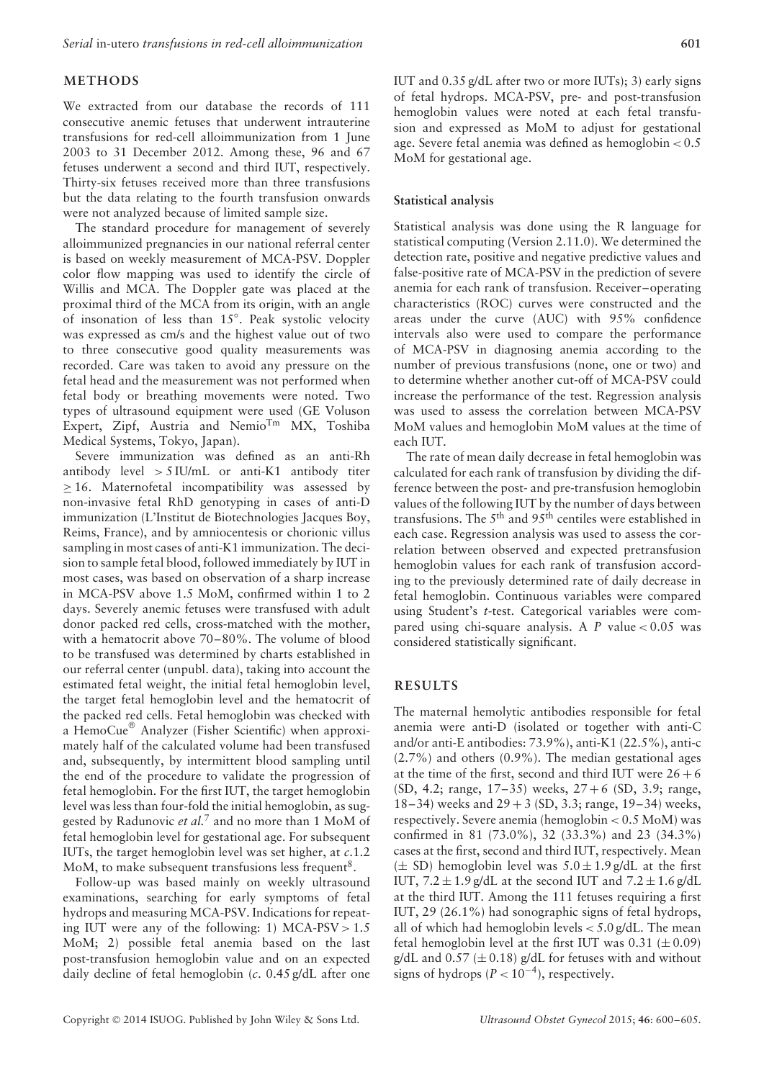## **METHODS**

We extracted from our database the records of 111 consecutive anemic fetuses that underwent intrauterine transfusions for red-cell alloimmunization from 1 June 2003 to 31 December 2012. Among these, 96 and 67 fetuses underwent a second and third IUT, respectively. Thirty-six fetuses received more than three transfusions but the data relating to the fourth transfusion onwards were not analyzed because of limited sample size.

The standard procedure for management of severely alloimmunized pregnancies in our national referral center is based on weekly measurement of MCA-PSV. Doppler color flow mapping was used to identify the circle of Willis and MCA. The Doppler gate was placed at the proximal third of the MCA from its origin, with an angle of insonation of less than 15◦ . Peak systolic velocity was expressed as cm/s and the highest value out of two to three consecutive good quality measurements was recorded. Care was taken to avoid any pressure on the fetal head and the measurement was not performed when fetal body or breathing movements were noted. Two types of ultrasound equipment were used (GE Voluson Expert, Zipf, Austria and Nemio<sup>Tm</sup> MX, Toshiba Medical Systems, Tokyo, Japan).

Severe immunization was defined as an anti-Rh antibody level *>* 5 IU/mL or anti-K1 antibody titer  $\geq$  16. Maternofetal incompatibility was assessed by non-invasive fetal RhD genotyping in cases of anti-D immunization (L'Institut de Biotechnologies Jacques Boy, Reims, France), and by amniocentesis or chorionic villus sampling in most cases of anti-K1 immunization. The decision to sample fetal blood, followed immediately by IUT in most cases, was based on observation of a sharp increase in MCA-PSV above 1.5 MoM, confirmed within 1 to 2 days. Severely anemic fetuses were transfused with adult donor packed red cells, cross-matched with the mother, with a hematocrit above 70–80%. The volume of blood to be transfused was determined by charts established in our referral center (unpubl. data), taking into account the estimated fetal weight, the initial fetal hemoglobin level, the target fetal hemoglobin level and the hematocrit of the packed red cells. Fetal hemoglobin was checked with a HemoCue® Analyzer (Fisher Scientific) when approximately half of the calculated volume had been transfused and, subsequently, by intermittent blood sampling until the end of the procedure to validate the progression of fetal hemoglobin. For the first IUT, the target hemoglobin level was less than four-fold the initial hemoglobin, as suggested by Radunovic *et al.*<sup>7</sup> and no more than 1 MoM of fetal hemoglobin level for gestational age. For subsequent IUTs, the target hemoglobin level was set higher, at *c*.1.2 MoM, to make subsequent transfusions less frequent<sup>8</sup>.

Follow-up was based mainly on weekly ultrasound examinations, searching for early symptoms of fetal hydrops and measuring MCA-PSV. Indications for repeating IUT were any of the following: 1) MCA-PSV  $> 1.5$ MoM; 2) possible fetal anemia based on the last post-transfusion hemoglobin value and on an expected daily decline of fetal hemoglobin (*c*. 0.45 g/dL after one

IUT and 0.35 g/dL after two or more IUTs); 3) early signs of fetal hydrops. MCA-PSV, pre- and post-transfusion hemoglobin values were noted at each fetal transfusion and expressed as MoM to adjust for gestational age. Severe fetal anemia was defined as hemoglobin *<* 0.5 MoM for gestational age.

#### **Statistical analysis**

Statistical analysis was done using the R language for statistical computing (Version 2.11.0). We determined the detection rate, positive and negative predictive values and false-positive rate of MCA-PSV in the prediction of severe anemia for each rank of transfusion. Receiver–operating characteristics (ROC) curves were constructed and the areas under the curve (AUC) with 95% confidence intervals also were used to compare the performance of MCA-PSV in diagnosing anemia according to the number of previous transfusions (none, one or two) and to determine whether another cut-off of MCA-PSV could increase the performance of the test. Regression analysis was used to assess the correlation between MCA-PSV MoM values and hemoglobin MoM values at the time of each IUT.

The rate of mean daily decrease in fetal hemoglobin was calculated for each rank of transfusion by dividing the difference between the post- and pre-transfusion hemoglobin values of the following IUT by the number of days between transfusions. The  $5^{\text{th}}$  and  $95^{\text{th}}$  centiles were established in each case. Regression analysis was used to assess the correlation between observed and expected pretransfusion hemoglobin values for each rank of transfusion according to the previously determined rate of daily decrease in fetal hemoglobin. Continuous variables were compared using Student's *t*-test. Categorical variables were compared using chi-square analysis. A *P* value *<* 0.05 was considered statistically significant.

### **RESULTS**

The maternal hemolytic antibodies responsible for fetal anemia were anti-D (isolated or together with anti-C and/or anti-E antibodies: 73.9%), anti-K1 (22.5%), anti-c (2.7%) and others (0.9%). The median gestational ages at the time of the first, second and third IUT were  $26 + 6$ (SD, 4.2; range, 17–35) weeks, 27 + 6 (SD, 3.9; range, 18–34) weeks and  $29 + 3$  (SD, 3.3; range, 19–34) weeks, respectively. Severe anemia (hemoglobin *<* 0.5 MoM) was confirmed in 81 (73.0%), 32 (33.3%) and 23 (34.3%) cases at the first, second and third IUT, respectively. Mean  $(\pm S)$  hemoglobin level was  $5.0 \pm 1.9$  g/dL at the first IUT,  $7.2 \pm 1.9$  g/dL at the second IUT and  $7.2 \pm 1.6$  g/dL at the third IUT. Among the 111 fetuses requiring a first IUT, 29 (26.1%) had sonographic signs of fetal hydrops, all of which had hemoglobin levels *<* 5.0 g/dL. The mean fetal hemoglobin level at the first IUT was  $0.31$  ( $\pm 0.09$ ) g/dL and  $0.57 \ (\pm 0.18)$  g/dL for fetuses with and without signs of hydrops (*P <* 10−4), respectively.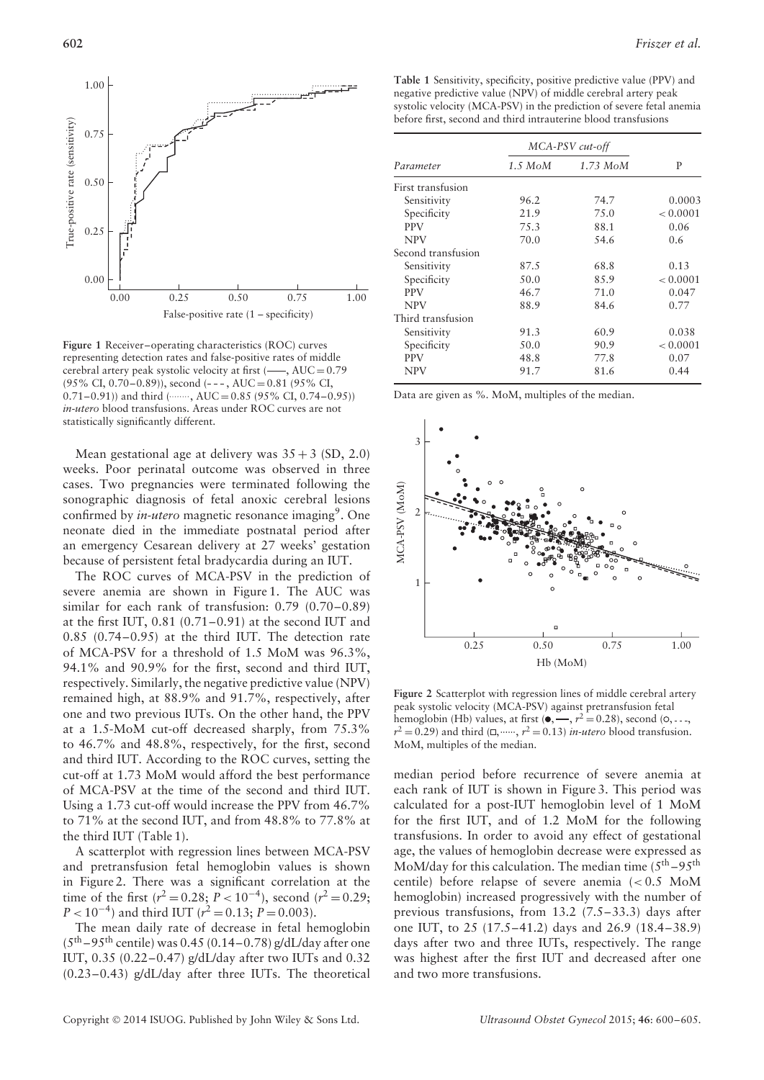

**Figure 1** Receiver–operating characteristics (ROC) curves representing detection rates and false-positive rates of middle cerebral artery peak systolic velocity at first  $(-, AUC = 0.79)$ (95% CI, 0.70–0.89)), second  $(-, AUC = 0.81)$  (95% CI, 0.71–0.91)) and third ( ...,  $AUC = 0.85$  (95% CI, 0.74–0.95)) *in-utero* blood transfusions. Areas under ROC curves are not statistically significantly different.

Mean gestational age at delivery was  $35 + 3$  (SD, 2.0) weeks. Poor perinatal outcome was observed in three cases. Two pregnancies were terminated following the sonographic diagnosis of fetal anoxic cerebral lesions confirmed by *in-utero* magnetic resonance imaging<sup>9</sup>. One neonate died in the immediate postnatal period after an emergency Cesarean delivery at 27 weeks' gestation because of persistent fetal bradycardia during an IUT.

The ROC curves of MCA-PSV in the prediction of severe anemia are shown in Figure 1. The AUC was similar for each rank of transfusion: 0.79 (0.70–0.89) at the first IUT, 0.81 (0.71–0.91) at the second IUT and 0.85 (0.74–0.95) at the third IUT. The detection rate of MCA-PSV for a threshold of 1.5 MoM was 96.3%, 94.1% and 90.9% for the first, second and third IUT, respectively. Similarly, the negative predictive value (NPV) remained high, at 88.9% and 91.7%, respectively, after one and two previous IUTs. On the other hand, the PPV at a 1.5-MoM cut-off decreased sharply, from 75.3% to 46.7% and 48.8%, respectively, for the first, second and third IUT. According to the ROC curves, setting the cut-off at 1.73 MoM would afford the best performance of MCA-PSV at the time of the second and third IUT. Using a 1.73 cut-off would increase the PPV from 46.7% to 71% at the second IUT, and from 48.8% to 77.8% at the third IUT (Table 1).

A scatterplot with regression lines between MCA-PSV and pretransfusion fetal hemoglobin values is shown in Figure 2. There was a significant correlation at the time of the first  $(r^2 = 0.28; P < 10^{-4})$ , second  $(r^2 = 0.29;$  $P < 10^{-4}$ ) and third IUT ( $r^2 = 0.13$ ;  $P = 0.003$ ).

The mean daily rate of decrease in fetal hemoglobin  $(5<sup>th</sup> - 95<sup>th</sup>$  centile) was 0.45 (0.14–0.78) g/dL/day after one IUT, 0.35 (0.22–0.47) g/dL/day after two IUTs and 0.32 (0.23–0.43) g/dL/day after three IUTs. The theoretical

**Table 1** Sensitivity, specificity, positive predictive value (PPV) and negative predictive value (NPV) of middle cerebral artery peak systolic velocity (MCA-PSV) in the prediction of severe fetal anemia before first, second and third intrauterine blood transfusions

| Parameter          | MCA-PSV cut-off |          |          |
|--------------------|-----------------|----------|----------|
|                    | 1.5 MoM         | 1.73 MoM | P        |
| First transfusion  |                 |          |          |
| Sensitivity        | 96.2            | 74.7     | 0.0003   |
| Specificity        | 21.9            | 75.0     | < 0.0001 |
| <b>PPV</b>         | 75.3            | 88.1     | 0.06     |
| <b>NPV</b>         | 70.0            | 54.6     | 0.6      |
| Second transfusion |                 |          |          |
| Sensitivity        | 87.5            | 68.8     | 0.13     |
| Specificity        | 50.0            | 8.5.9    | < 0.0001 |
| <b>PPV</b>         | 46.7            | 71.0     | 0.047    |
| <b>NPV</b>         | 88.9            | 84.6     | 0.77     |
| Third transfusion  |                 |          |          |
| Sensitivity        | 91.3            | 60.9     | 0.038    |
| Specificity        | 50.0            | 90.9     | < 0.0001 |
| <b>PPV</b>         | 48.8            | 77.8     | 0.07     |
| <b>NPV</b>         | 91.7            | 81.6     | 0.44     |

Data are given as %. MoM, multiples of the median.



**Figure 2** Scatterplot with regression lines of middle cerebral artery peak systolic velocity (MCA-PSV) against pretransfusion fetal hemoglobin (Hb) values, at first  $(\bullet, \text{---}, r^2 = 0.28)$ , second  $( \circ, \text{---},$  $r^2 = 0.29$  and third ( $\Box$ , *r<sup>2</sup>* = 0.13) *in-utero* blood transfusion. MoM, multiples of the median.

median period before recurrence of severe anemia at each rank of IUT is shown in Figure 3. This period was calculated for a post-IUT hemoglobin level of 1 MoM for the first IUT, and of 1.2 MoM for the following transfusions. In order to avoid any effect of gestational age, the values of hemoglobin decrease were expressed as MoM/day for this calculation. The median time (5th –95th centile) before relapse of severe anemia (*<* 0.5 MoM hemoglobin) increased progressively with the number of previous transfusions, from 13.2 (7.5–33.3) days after one IUT, to 25 (17.5–41.2) days and 26.9 (18.4–38.9) days after two and three IUTs, respectively. The range was highest after the first IUT and decreased after one and two more transfusions.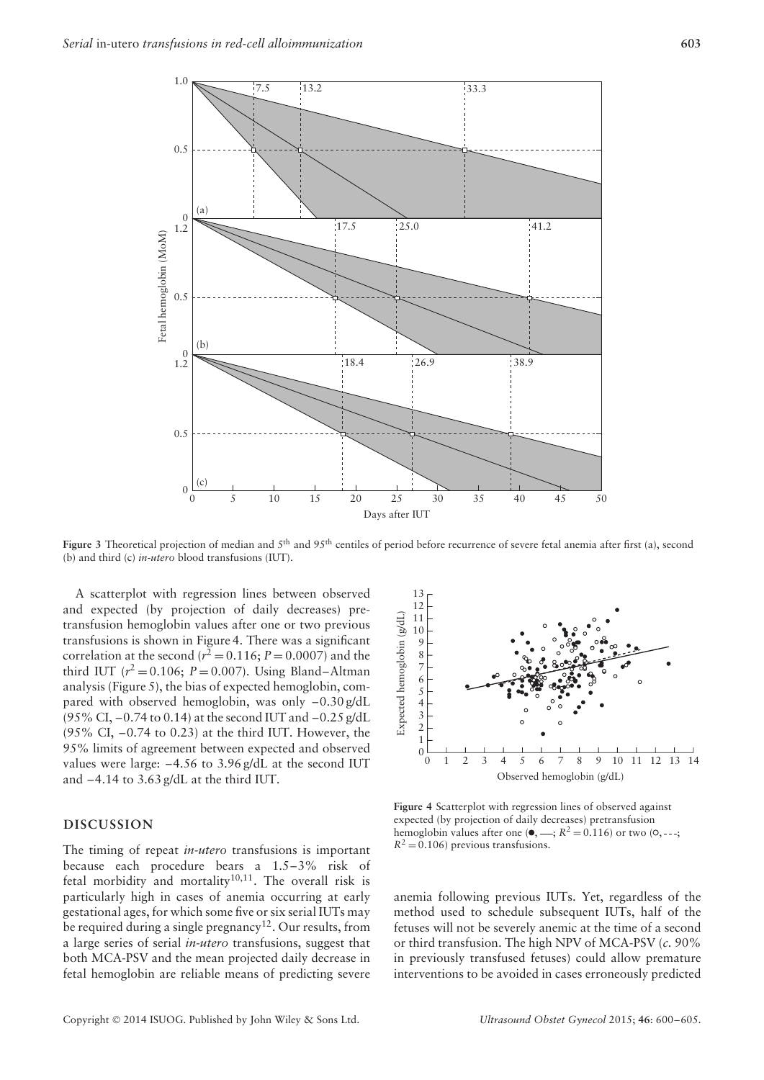

Figure 3 Theoretical projection of median and 5<sup>th</sup> and 95<sup>th</sup> centiles of period before recurrence of severe fetal anemia after first (a), second (b) and third (c) *in-utero* blood transfusions (IUT).

A scatterplot with regression lines between observed and expected (by projection of daily decreases) pretransfusion hemoglobin values after one or two previous transfusions is shown in Figure 4. There was a significant correlation at the second ( $r^2$  = 0.116; *P* = 0.0007) and the third IUT ( $r^2 = 0.106$ ;  $P = 0.007$ ). Using Bland–Altman analysis (Figure 5), the bias of expected hemoglobin, compared with observed hemoglobin, was only –0.30 g/dL (95% CI,  $-0.74$  to 0.14) at the second IUT and  $-0.25$  g/dL  $(95\% \text{ CI}, -0.74 \text{ to } 0.23)$  at the third IUT. However, the 95% limits of agreement between expected and observed values were large:  $-4.56$  to 3.96 g/dL at the second IUT and –4.14 to 3.63 g/dL at the third IUT.

#### **DISCUSSION**

The timing of repeat *in-utero* transfusions is important because each procedure bears a 1.5–3% risk of fetal morbidity and mortality<sup>10,11</sup>. The overall risk is particularly high in cases of anemia occurring at early gestational ages, for which some five or six serial IUTs may be required during a single pregnancy<sup>12</sup>. Our results, from a large series of serial *in-utero* transfusions, suggest that both MCA-PSV and the mean projected daily decrease in fetal hemoglobin are reliable means of predicting severe



**Figure 4** Scatterplot with regression lines of observed against expected (by projection of daily decreases) pretransfusion hemoglobin values after one  $(\bullet, \underline{\hspace{1cm}}; R^2 = 0.116)$  or two  $( \circ, \underline{\hspace{1cm}}; \cdot \cdot;$  $R^2$  = 0.106) previous transfusions.

anemia following previous IUTs. Yet, regardless of the method used to schedule subsequent IUTs, half of the fetuses will not be severely anemic at the time of a second or third transfusion. The high NPV of MCA-PSV (*c.* 90% in previously transfused fetuses) could allow premature interventions to be avoided in cases erroneously predicted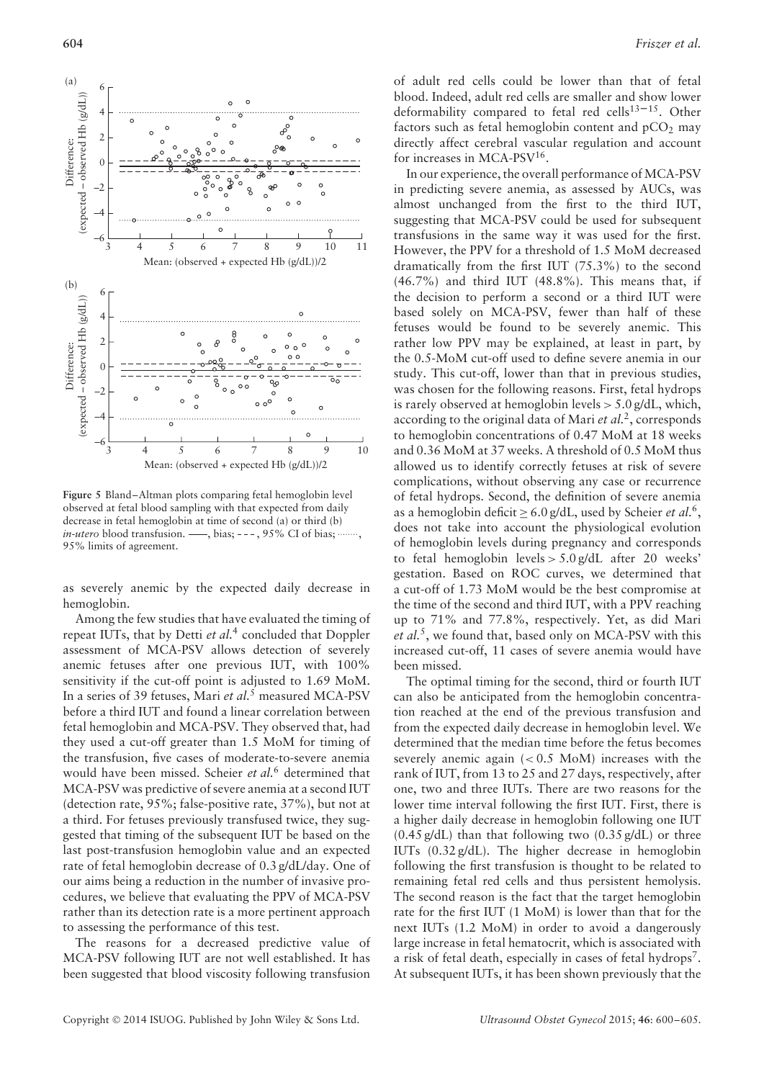

**Figure 5** Bland–Altman plots comparing fetal hemoglobin level observed at fetal blood sampling with that expected from daily decrease in fetal hemoglobin at time of second (a) or third (b) *in-utero* blood transfusion. ——, bias; ---, 95% CI of bias; ... *i*<sub>m</sub>, bias; ---, 95% CI of bias; ……. 95% limits of agreement.

as severely anemic by the expected daily decrease in hemoglobin.

Among the few studies that have evaluated the timing of repeat IUTs, that by Detti *et al.*<sup>4</sup> concluded that Doppler assessment of MCA-PSV allows detection of severely anemic fetuses after one previous IUT, with 100% sensitivity if the cut-off point is adjusted to 1.69 MoM. In a series of 39 fetuses, Mari *et al.*<sup>5</sup> measured MCA-PSV before a third IUT and found a linear correlation between fetal hemoglobin and MCA-PSV. They observed that, had they used a cut-off greater than 1.5 MoM for timing of the transfusion, five cases of moderate-to-severe anemia would have been missed. Scheier *et al.*<sup>6</sup> determined that MCA-PSV was predictive of severe anemia at a second IUT (detection rate, 95%; false-positive rate, 37%), but not at a third. For fetuses previously transfused twice, they suggested that timing of the subsequent IUT be based on the last post-transfusion hemoglobin value and an expected rate of fetal hemoglobin decrease of 0.3 g/dL/day. One of our aims being a reduction in the number of invasive procedures, we believe that evaluating the PPV of MCA-PSV rather than its detection rate is a more pertinent approach to assessing the performance of this test.

The reasons for a decreased predictive value of MCA-PSV following IUT are not well established. It has been suggested that blood viscosity following transfusion

of adult red cells could be lower than that of fetal blood. Indeed, adult red cells are smaller and show lower deformability compared to fetal red cells $13-15$ . Other factors such as fetal hemoglobin content and  $pCO<sub>2</sub>$  may directly affect cerebral vascular regulation and account for increases in MCA-PSV<sup>16</sup>.

In our experience, the overall performance of MCA-PSV in predicting severe anemia, as assessed by AUCs, was almost unchanged from the first to the third IUT, suggesting that MCA-PSV could be used for subsequent transfusions in the same way it was used for the first. However, the PPV for a threshold of 1.5 MoM decreased dramatically from the first IUT (75.3%) to the second (46.7%) and third IUT (48.8%). This means that, if the decision to perform a second or a third IUT were based solely on MCA-PSV, fewer than half of these fetuses would be found to be severely anemic. This rather low PPV may be explained, at least in part, by the 0.5-MoM cut-off used to define severe anemia in our study. This cut-off, lower than that in previous studies, was chosen for the following reasons. First, fetal hydrops is rarely observed at hemoglobin levels *>* 5.0 g/dL, which, according to the original data of Mari *et al.*2, corresponds to hemoglobin concentrations of 0.47 MoM at 18 weeks and 0.36 MoM at 37 weeks. A threshold of 0.5 MoM thus allowed us to identify correctly fetuses at risk of severe complications, without observing any case or recurrence of fetal hydrops. Second, the definition of severe anemia as a hemoglobin deficit  $\geq 6.0$  g/dL, used by Scheier *et al.*<sup>6</sup>, does not take into account the physiological evolution of hemoglobin levels during pregnancy and corresponds to fetal hemoglobin levels *>* 5.0 g/dL after 20 weeks' gestation. Based on ROC curves, we determined that a cut-off of 1.73 MoM would be the best compromise at the time of the second and third IUT, with a PPV reaching up to 71% and 77.8%, respectively. Yet, as did Mari *et al.*5, we found that, based only on MCA-PSV with this increased cut-off, 11 cases of severe anemia would have been missed.

The optimal timing for the second, third or fourth IUT can also be anticipated from the hemoglobin concentration reached at the end of the previous transfusion and from the expected daily decrease in hemoglobin level. We determined that the median time before the fetus becomes severely anemic again (*<* 0.5 MoM) increases with the rank of IUT, from 13 to 25 and 27 days, respectively, after one, two and three IUTs. There are two reasons for the lower time interval following the first IUT. First, there is a higher daily decrease in hemoglobin following one IUT  $(0.45 \text{ g/dL})$  than that following two  $(0.35 \text{ g/dL})$  or three IUTs (0.32 g/dL). The higher decrease in hemoglobin following the first transfusion is thought to be related to remaining fetal red cells and thus persistent hemolysis. The second reason is the fact that the target hemoglobin rate for the first IUT (1 MoM) is lower than that for the next IUTs (1.2 MoM) in order to avoid a dangerously large increase in fetal hematocrit, which is associated with a risk of fetal death, especially in cases of fetal hydrops<sup>7</sup>. At subsequent IUTs, it has been shown previously that the